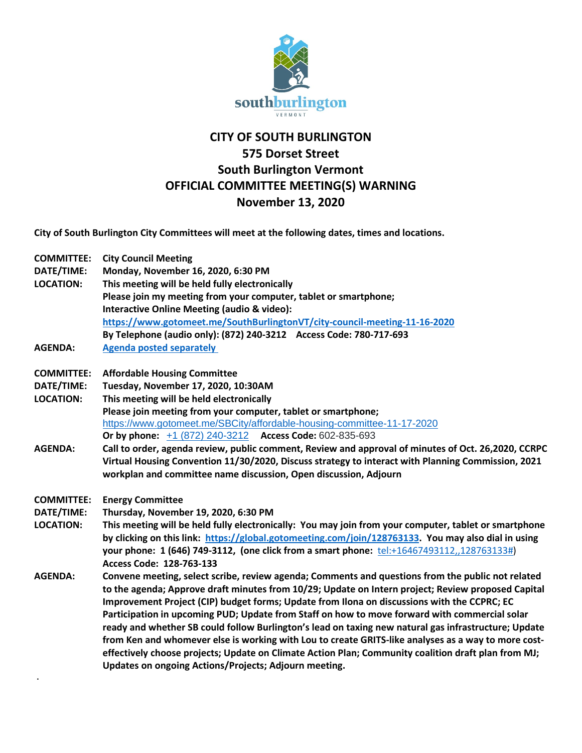

## **CITY OF SOUTH BURLINGTON 575 Dorset Street South Burlington Vermont OFFICIAL COMMITTEE MEETING(S) WARNING November 13, 2020**

**City of South Burlington City Committees will meet at the following dates, times and locations.** 

**ᐧ**

| <b>COMMITTEE:</b> | <b>City Council Meeting</b>                                                                           |
|-------------------|-------------------------------------------------------------------------------------------------------|
| DATE/TIME:        | Monday, November 16, 2020, 6:30 PM                                                                    |
| <b>LOCATION:</b>  | This meeting will be held fully electronically                                                        |
|                   | Please join my meeting from your computer, tablet or smartphone;                                      |
|                   | Interactive Online Meeting (audio & video):                                                           |
|                   | https://www.gotomeet.me/SouthBurlingtonVT/city-council-meeting-11-16-2020                             |
|                   | By Telephone (audio only): (872) 240-3212 Access Code: 780-717-693                                    |
| <b>AGENDA:</b>    | <b>Agenda posted separately</b>                                                                       |
| <b>COMMITTEE:</b> | <b>Affordable Housing Committee</b>                                                                   |
| DATE/TIME:        | Tuesday, November 17, 2020, 10:30AM                                                                   |
| <b>LOCATION:</b>  | This meeting will be held electronically                                                              |
|                   | Please join meeting from your computer, tablet or smartphone;                                         |
|                   | https://www.gotomeet.me/SBCity/affordable-housing-committee-11-17-2020                                |
|                   | Or by phone: +1 (872) 240-3212 Access Code: 602-835-693                                               |
| <b>AGENDA:</b>    | Call to order, agenda review, public comment, Review and approval of minutes of Oct. 26,2020, CCRPC   |
|                   | Virtual Housing Convention 11/30/2020, Discuss strategy to interact with Planning Commission, 2021    |
|                   | workplan and committee name discussion, Open discussion, Adjourn                                      |
| <b>COMMITTEE:</b> | <b>Energy Committee</b>                                                                               |
| DATE/TIME:        | Thursday, November 19, 2020, 6:30 PM                                                                  |
| <b>LOCATION:</b>  | This meeting will be held fully electronically: You may join from your computer, tablet or smartphone |
|                   | by clicking on this link: https://global.gotomeeting.com/join/128763133. You may also dial in using   |
|                   | your phone: 1 (646) 749-3112, (one click from a smart phone: tel:+16467493112,,128763133#)            |
|                   | Access Code: 128-763-133                                                                              |
| <b>AGENDA:</b>    | Convene meeting, select scribe, review agenda; Comments and questions from the public not related     |
|                   | to the agenda; Approve draft minutes from 10/29; Update on Intern project; Review proposed Capital    |
|                   | Improvement Project (CIP) budget forms; Update from Ilona on discussions with the CCPRC; EC           |
|                   | Participation in upcoming PUD; Update from Staff on how to move forward with commercial solar         |
|                   | ready and whether SB could follow Burlington's lead on taxing new natural gas infrastructure; Update  |
|                   | from Ken and whomever else is working with Lou to create GRITS-like analyses as a way to more cost-   |
|                   | effectively choose projects; Update on Climate Action Plan; Community coalition draft plan from MJ;   |
|                   | Updates on ongoing Actions/Projects; Adjourn meeting.                                                 |